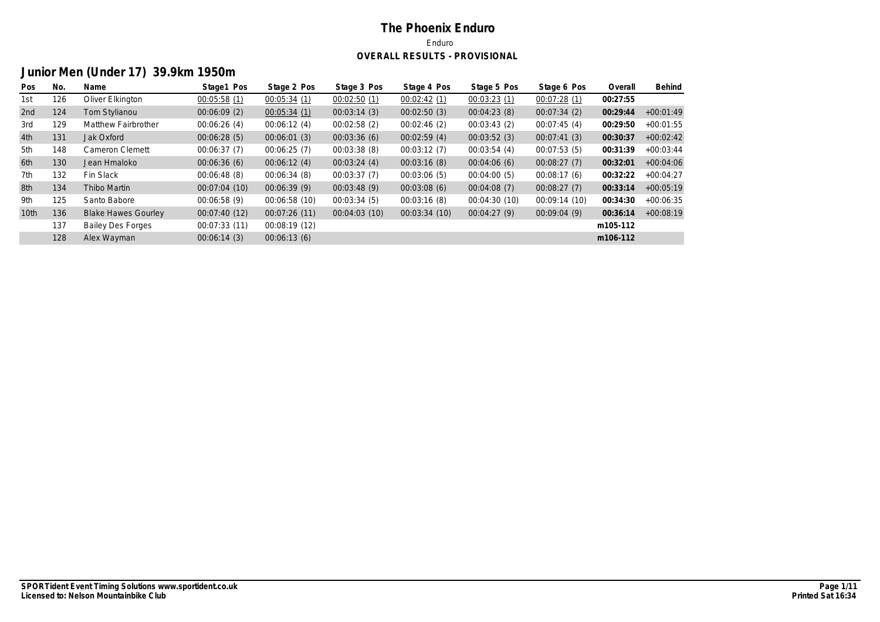# **Junior Men (Under 17) 39.9km 1950m**

| Pos              | No. | Name                       | Stage1 Pos    | Stage 2 Pos   | Stage 3 Pos  | Stage 4 Pos  | Stage 5 Pos   | Stage 6 Pos   | Overall  | Behind      |
|------------------|-----|----------------------------|---------------|---------------|--------------|--------------|---------------|---------------|----------|-------------|
| 1st              | 126 | Oliver Elkington           | 00:05:58(1)   | 00:05:34(1)   | 00:02:50(1)  | 00:02:42(1)  | 00:03:23(1)   | 00:07:28(1)   | 00:27:55 |             |
| 2nd              | 124 | Tom Stylianou              | 00:06:09(2)   | 00:05:34(1)   | 00:03:14(3)  | 00:02:50(3)  | 00:04:23(8)   | 00:07:34(2)   | 00:29:44 | $+00:01:49$ |
| 3rd              | 129 | Matthew Fairbrother        | 00:06:26(4)   | 00:06:12(4)   | 00:02:58(2)  | 00:02:46(2)  | 00:03:43(2)   | 00:07:45(4)   | 00:29:50 | $+00:01:55$ |
| 4th              | 131 | Jak Oxford                 | 00:06:28(5)   | 00:06:01(3)   | 00:03:36(6)  | 00:02:59(4)  | 00:03:52(3)   | 00:07:41(3)   | 00:30:37 | $+00:02:42$ |
| 5th              | 148 | Cameron Clemett            | 00:06:37(7)   | 00:06:25(7)   | 00:03:38(8)  | 00:03:12(7)  | 00:03:54(4)   | 00:07:53(5)   | 00:31:39 | $+00:03:44$ |
| 6th              | 130 | Jean Hmaloko               | 00:06:36(6)   | 00:06:12(4)   | 00:03:24(4)  | 00:03:16(8)  | 00:04:06(6)   | 00:08:27(7)   | 00:32:01 | $+00:04:06$ |
| 7th              | 132 | Fin Slack                  | 00:06:48(8)   | 00:06:34(8)   | 00:03:37(7)  | 00:03:06(5)  | 00:04:00(5)   | 00:08:17(6)   | 00:32:22 | $+00:04:27$ |
| 8th              | 134 | Thibo Martin               | 00:07:04 (10) | 00:06:39(9)   | 00:03:48(9)  | 00:03:08(6)  | 00:04:08(7)   | 00:08:27(7)   | 00:33:14 | $+00:05:19$ |
| 9th              | 125 | Santo Babore               | 00:06:58(9)   | 00:06:58 (10) | 00:03:34(5)  | 00:03:16(8)  | 00:04:30 (10) | 00:09:14 (10) | 00:34:30 | $+00:06:35$ |
| 10 <sub>th</sub> | 136 | <b>Blake Hawes Gourley</b> | 00:07:40(12)  | 00:07:26(11)  | 00:04:03(10) | 00:03:34(10) | 00:04:27(9)   | 00:09:04(9)   | 00:36:14 | $+00:08:19$ |
|                  | 137 | <b>Bailey Des Forges</b>   | 00:07:33(11)  | 00:08:19(12)  |              |              |               |               | m105-112 |             |
|                  | 128 | Alex Wayman                | 00:06:14(3)   | 00:06:13(6)   |              |              |               |               | m106-112 |             |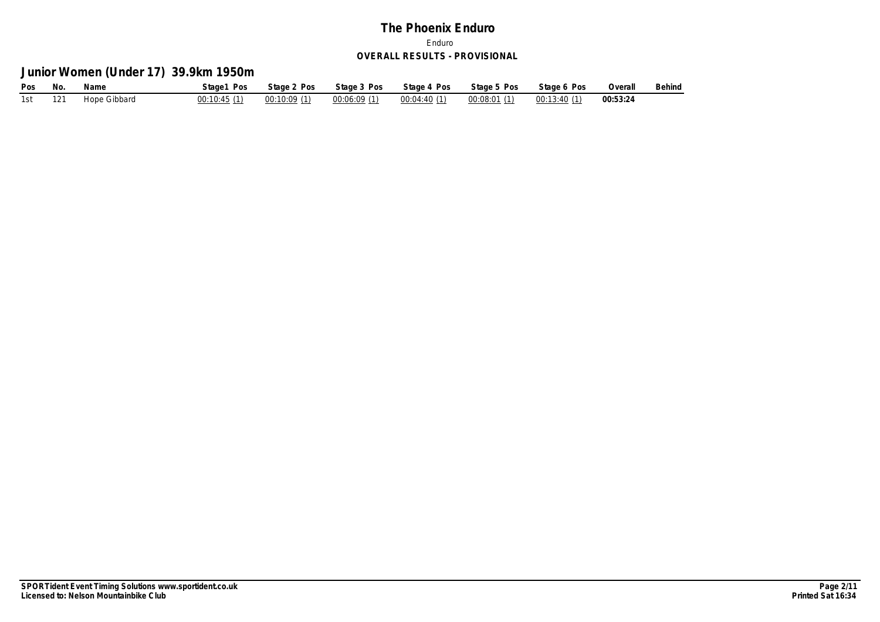**Junior Women (Under 17) 39.9km 1950m**

| Pos     | No. | Name         | Stage1 Pos                  | Stage 2 Pos | Stage 3 Pos | Stage 4 Pos                                             | Stage 5 Pos Stage 6 Pos | Overall  | Behind |
|---------|-----|--------------|-----------------------------|-------------|-------------|---------------------------------------------------------|-------------------------|----------|--------|
| 1st 121 |     | Hope Gibbard | $00:10:45(1)$ $00:10:09(1)$ |             |             | $00:06:09(1)$ $00:04:40(1)$ $00:08:01(1)$ $00:13:40(1)$ |                         | 00:53:24 |        |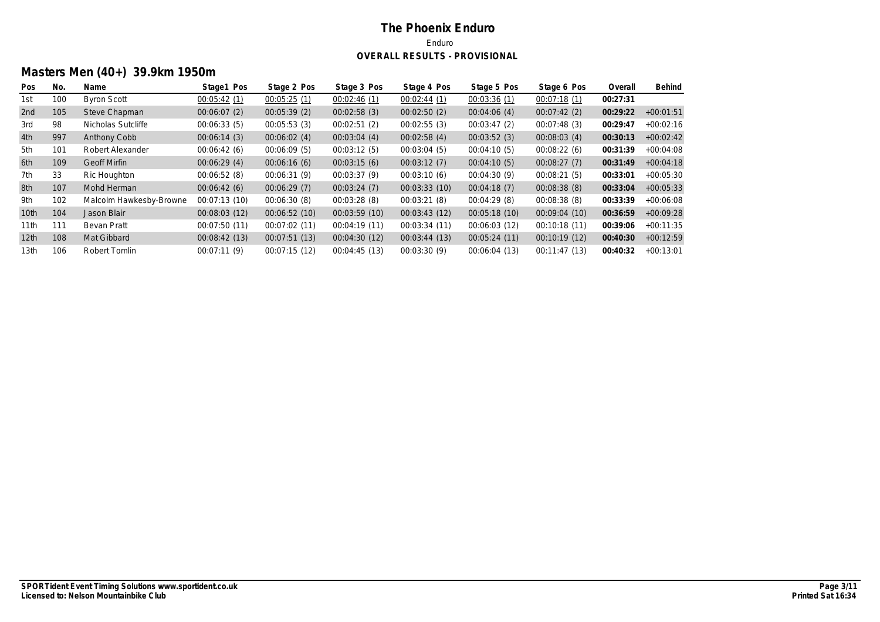# **Masters Men (40+) 39.9km 1950m**

| Pos              | No. | Name                    | Stage1 Pos    | Stage 2 Pos  | Stage 3 Pos  | Stage 4 Pos  | Stage 5 Pos   | Stage 6 Pos  | Overall  | Behind      |
|------------------|-----|-------------------------|---------------|--------------|--------------|--------------|---------------|--------------|----------|-------------|
| 1st              | 100 | <b>Byron Scott</b>      | 00:05:42(1)   | 00:05:25(1)  | 00:02:46(1)  | 00:02:44(1)  | 00:03:36(1)   | 00:07:18(1)  | 00:27:31 |             |
| 2nd              | 105 | Steve Chapman           | 00:06:07(2)   | 00:05:39(2)  | 00:02:58(3)  | 00:02:50(2)  | 00:04:06(4)   | 00:07:42(2)  | 00:29:22 | $+00:01:51$ |
| 3rd              | 98  | Nicholas Sutcliffe      | 00:06:33(5)   | 00:05:53(3)  | 00:02:51(2)  | 00:02:55(3)  | 00:03:47(2)   | 00:07:48(3)  | 00:29:47 | $+00:02:16$ |
| 4th              | 997 | Anthony Cobb            | 00:06:14(3)   | 00:06:02(4)  | 00:03:04(4)  | 00:02:58(4)  | 00:03:52(3)   | 00:08:03(4)  | 00:30:13 | $+00:02:42$ |
| 5th              | 101 | Robert Alexander        | 00:06:42(6)   | 00:06:09(5)  | 00:03:12(5)  | 00:03:04(5)  | 00:04:10(5)   | 00:08:22(6)  | 00:31:39 | $+00:04:08$ |
| 6th              | 109 | <b>Geoff Mirfin</b>     | 00:06:29(4)   | 00:06:16(6)  | 00:03:15(6)  | 00:03:12(7)  | 00:04:10(5)   | 00:08:27(7)  | 00:31:49 | $+00:04:18$ |
| 7th              | 33  | Ric Houghton            | 00:06:52(8)   | 00:06:31(9)  | 00:03:37(9)  | 00:03:10(6)  | 00:04:30(9)   | 00:08:21(5)  | 00:33:01 | $+00:05:30$ |
| 8th              | 107 | Mohd Herman             | 00:06:42(6)   | 00:06:29(7)  | 00:03:24(7)  | 00:03:33(10) | 00:04:18(7)   | 00:08:38(8)  | 00:33:04 | $+00:05:33$ |
| 9th              | 102 | Malcolm Hawkesby-Browne | 00:07:13(10)  | 00:06:30(8)  | 00:03:28(8)  | 00:03:21(8)  | 00:04:29(8)   | 00:08:38(8)  | 00:33:39 | $+00:06:08$ |
| 10th             | 104 | Jason Blair             | 00:08:03(12)  | 00:06:52(10) | 00:03:59(10) | 00:03:43(12) | 00:05:18(10)  | 00:09:04(10) | 00:36:59 | $+00:09:28$ |
| 11 <sub>th</sub> | 111 | Bevan Pratt             | 00:07:50 (11) | 00:07:02(11) | 00:04:19(11) | 00:03:34(11) | 00:06:03 (12) | 00:10:18(11) | 00:39:06 | $+00:11:35$ |
| 12 <sub>th</sub> | 108 | Mat Gibbard             | 00:08:42(13)  | 00:07:51(13) | 00:04:30(12) | 00:03:44(13) | 00:05:24(11)  | 00:10:19(12) | 00:40:30 | $+00:12:59$ |
| 13th             | 106 | Robert Tomlin           | 00:07:11(9)   | 00:07:15(12) | 00:04:45(13) | 00:03:30(9)  | 00:06:04 (13) | 00:11:47(13) | 00:40:32 | $+00:13:01$ |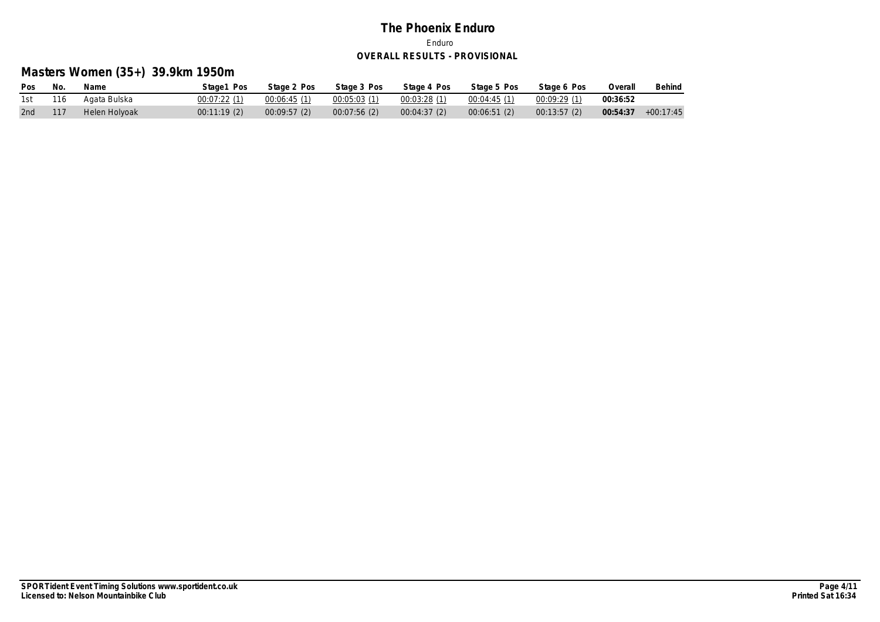# **Masters Women (35+) 39.9km 1950m**

| Pos     | No.  | Name          | Stage1 Pos  | Stage 2 Pos  | Stage 3 Pos | Stage 4 Pos | Stage 5 Pos                 | Stage 6 Pos | Overall  | Behind      |
|---------|------|---------------|-------------|--------------|-------------|-------------|-----------------------------|-------------|----------|-------------|
| 1st 116 |      | Agata Bulska  | 00:07:22(1) | 00:06:45 (1) |             |             | $00:04:45(1)$ $00:09:29(1)$ |             | 00:36:52 |             |
| 2nd     | -117 | Helen Holyoak | 00:11:19(2) | 00:09:57(2)  | 00:07:56(2) | 00:04:37(2) | 00:06:51(2)                 | 00:13:57(2) | 00:54:37 | $+00:17:45$ |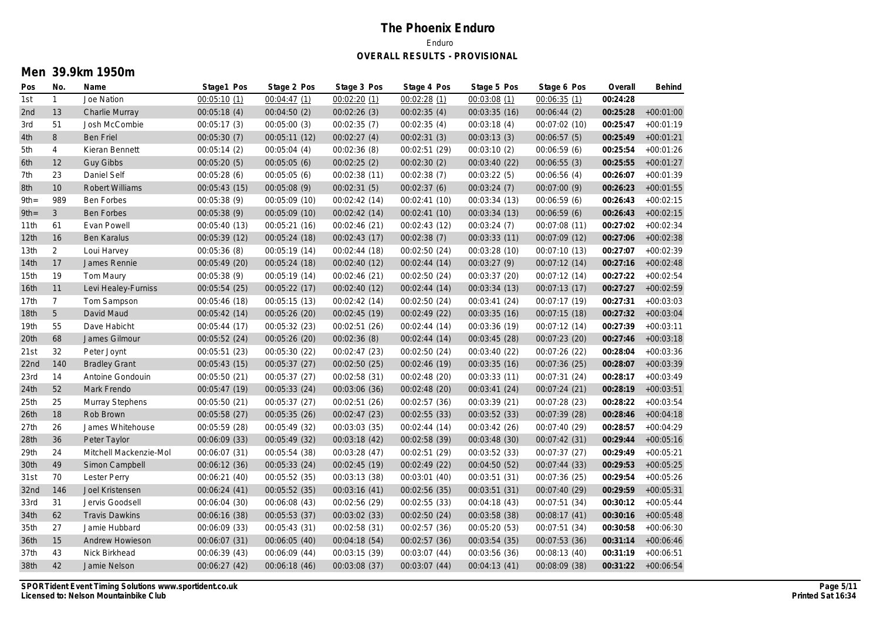## **Men 39.9km 1950m**

| Pos              | No.             | Name                   | Stage1 Pos    | Stage 2 Pos   | Stage 3 Pos   | Stage 4 Pos   | Stage 5 Pos   | Stage 6 Pos   | Overall  | Behind             |
|------------------|-----------------|------------------------|---------------|---------------|---------------|---------------|---------------|---------------|----------|--------------------|
| 1st              | $\mathbf{1}$    | Joe Nation             | 00:05:10(1)   | 00:04:47(1)   | 00:02:20(1)   | 00:02:28(1)   | 00:03:08 (1)  | 00:06:35(1)   | 00:24:28 |                    |
| 2nd              | 13              | Charlie Murray         | 00:05:18(4)   | 00:04:50(2)   | 00:02:26(3)   | 00:02:35(4)   | 00:03:35 (16) | 00:06:44(2)   | 00:25:28 | $+00:01:00$        |
| 3rd              | 51              | Josh McCombie          | 00:05:17 (3)  | 00:05:00(3)   | 00:02:35 (7)  | 00:02:35(4)   | 00:03:18 (4)  | 00:07:02 (10) | 00:25:47 | $+00:01:19$        |
| 4th              | 8               | <b>Ben Friel</b>       | 00:05:30(7)   | 00:05:11(12)  | 00:02:27(4)   | 00:02:31(3)   | 00:03:13(3)   | 00:06:57(5)   | 00:25:49 | $+00:01:21$        |
| 5th              | 4               | Kieran Bennett         | 00:05:14 (2)  | 00:05:04(4)   | 00:02:36 (8)  | 00:02:51 (29) | 00:03:10 (2)  | 00:06:59 (6)  | 00:25:54 | $+00:01:26$        |
| 6th              | 12              | <b>Guy Gibbs</b>       | 00:05:20(5)   | 00:05:05(6)   | 00:02:25(2)   | 00:02:30(2)   | 00:03:40 (22) | 00:06:55(3)   | 00:25:55 | $+00:01:27$        |
| 7th              | 23              | Daniel Self            | 00:05:28(6)   | 00:05:05(6)   | 00:02:38 (11) | 00:02:38(7)   | 00:03:22(5)   | 00:06:56(4)   | 00:26:07 | $+00:01:39$        |
| 8th              | 10              | Robert Williams        | 00:05:43 (15) | 00:05:08 (9)  | 00:02:31(5)   | 00:02:37(6)   | 00:03:24(7)   | 00:07:00 (9)  | 00:26:23 | $+00:01:55$        |
| $9th =$          | 989             | Ben Forbes             | 00:05:38 (9)  | 00:05:09 (10) | 00:02:42 (14) | 00:02:41 (10) | 00:03:34 (13) | 00:06:59 (6)  | 00:26:43 | $+00:02:15$        |
| $9th =$          | $\mathfrak{Z}$  | <b>Ben Forbes</b>      | 00:05:38(9)   | 00:05:09 (10) | 00:02:42 (14) | 00:02:41 (10) | 00:03:34 (13) | 00:06:59 (6)  | 00:26:43 | $+00:02:15$        |
| 11th             | 61              | Evan Powell            | 00:05:40 (13) | 00:05:21(16)  | 00:02:46 (21) | 00:02:43 (12) | 00:03:24(7)   | 00:07:08 (11) | 00:27:02 | $+00:02:34$        |
| 12th             | 16              | Ben Karalus            | 00:05:39 (12) | 00:05:24 (18) | 00:02:43(17)  | 00:02:38(7)   | 00:03:33 (11) | 00:07:09 (12) | 00:27:06 | $+00:02:38$        |
| 13 <sub>th</sub> | $\overline{2}$  | Loui Harvey            | 00:05:36(8)   | 00:05:19 (14) | 00:02:44 (18) | 00:02:50 (24) | 00:03:28(10)  | 00:07:10 (13) | 00:27:07 | $+00:02:39$        |
| 14th             | 17              | James Rennie           | 00:05:49 (20) | 00:05:24 (18) | 00:02:40 (12) | 00:02:44 (14) | 00:03:27 (9)  | 00:07:12 (14) | 00:27:16 | $+00:02:48$        |
| 15th             | 19              | Tom Maury              | 00:05:38 (9)  | 00:05:19 (14) | 00:02:46 (21) | 00:02:50 (24) | 00:03:37 (20) | 00:07:12 (14) | 00:27:22 | $+00:02:54$        |
| 16th             | 11              | Levi Healey-Furniss    | 00:05:54 (25) | 00:05:22 (17) | 00:02:40 (12) | 00:02:44(14)  | 00:03:34 (13) | 00:07:13 (17) | 00:27:27 | $+00:02:59$        |
| 17th             | $7\overline{ }$ | Tom Sampson            | 00:05:46 (18) | 00:05:15 (13) | 00:02:42(14)  | 00:02:50 (24) | 00:03:41 (24) | 00:07:17 (19) | 00:27:31 | $+00:03:03$        |
| 18 <sub>th</sub> | 5               | David Maud             | 00:05:42 (14) | 00:05:26 (20) | 00:02:45 (19) | 00:02:49 (22) | 00:03:35 (16) | 00:07:15 (18) | 00:27:32 | $+00:03:04$        |
| 19th             | 55              | Dave Habicht           | 00:05:44 (17) | 00:05:32 (23) | 00:02:51 (26) | 00:02:44 (14) | 00:03:36 (19) | 00:07:12 (14) | 00:27:39 | $+00:03:11$        |
| 20th             | 68              | James Gilmour          | 00:05:52 (24) | 00:05:26 (20) | 00:02:36 (8)  | 00:02:44 (14) | 00:03:45 (28) | 00:07:23 (20) | 00:27:46 | $+00:03:18$        |
| 21st             | 32              | Peter Joynt            | 00:05:51 (23) | 00:05:30 (22) | 00:02:47 (23) | 00:02:50 (24) | 00:03:40 (22) | 00:07:26 (22) | 00:28:04 | $+00:03:36$        |
| 22nd             | 140             | <b>Bradley Grant</b>   | 00:05:43 (15) | 00:05:37 (27) | 00:02:50 (25) | 00:02:46 (19) | 00:03:35 (16) | 00:07:36 (25) | 00:28:07 | $+00:03:39$        |
| 23rd             | 14              | Antoine Gondouin       | 00:05:50 (21) | 00:05:37 (27) | 00:02:58 (31) | 00:02:48 (20) | 00:03:33 (11) | 00:07:31 (24) | 00:28:17 | $+00:03:49$        |
| 24th             | 52              | Mark Frendo            | 00:05:47 (19) | 00:05:33 (24) | 00:03:06 (36) | 00:02:48 (20) | 00:03:41 (24) | 00:07:24 (21) | 00:28:19 | $+00:03:51$        |
| 25th             | 25              | Murray Stephens        | 00:05:50 (21) | 00:05:37 (27) | 00:02:51 (26) | 00:02:57 (36) | 00:03:39 (21) | 00:07:28(23)  | 00:28:22 | $+00:03:54$        |
| 26th             | 18              | Rob Brown              | 00:05:58 (27) | 00:05:35 (26) | 00:02:47 (23) | 00:02:55 (33) | 00:03:52 (33) | 00:07:39 (28) | 00:28:46 | $+00:04:18$        |
| 27th             | 26              | James Whitehouse       | 00:05:59 (28) | 00:05:49 (32) | 00:03:03 (35) | 00:02:44 (14) | 00:03:42 (26) | 00:07:40 (29) | 00:28:57 | $+00:04:29$        |
| 28th             | 36              | Peter Taylor           | 00:06:09 (33) | 00:05:49 (32) | 00:03:18 (42) | 00:02:58 (39) | 00:03:48 (30) | 00:07:42 (31) | 00:29:44 | $+00:05:16$        |
| 29th             | 24              | Mitchell Mackenzie-Mol | 00:06:07 (31) | 00:05:54 (38) | 00:03:28(47)  | 00:02:51 (29) | 00:03:52 (33) | 00:07:37 (27) | 00:29:49 | $+00:05:21$        |
| 30th             | 49              | Simon Campbell         | 00:06:12 (36) | 00:05:33 (24) | 00:02:45 (19) | 00:02:49 (22) | 00:04:50 (52) | 00:07:44 (33) | 00:29:53 | $+00:05:25$        |
| 31st             | 70              | <b>Lester Perry</b>    | 00:06:21 (40) | 00:05:52 (35) | 00:03:13 (38) | 00:03:01 (40) | 00:03:51 (31) | 00:07:36 (25) | 00:29:54 | $+00:05:26$        |
| 32nd             | 146             | Joel Kristensen        | 00:06:24 (41) | 00:05:52 (35) | 00:03:16 (41) | 00:02:56 (35) | 00:03:51 (31) | 00:07:40 (29) | 00:29:59 | $+00:05:31$        |
| 33rd             | 31              | Jervis Goodsell        | 00:06:04 (30) | 00:06:08 (43) | 00:02:56 (29) | 00:02:55 (33) | 00:04:18 (43) | 00:07:51 (34) | 00:30:12 | $+00:05:44$        |
| 34th             | 62              | <b>Travis Dawkins</b>  | 00:06:16 (38) | 00:05:53 (37) | 00:03:02 (33) | 00:02:50 (24) | 00:03:58 (38) | 00:08:17 (41) | 00:30:16 | $+00:05:48$        |
| 35th             | 27              | Jamie Hubbard          | 00:06:09 (33) | 00:05:43 (31) | 00:02:58 (31) | 00:02:57 (36) | 00:05:20 (53) | 00:07:51 (34) | 00:30:58 | $+00:06:30$        |
| 36th             | 15              | Andrew Howieson        | 00:06:07 (31) | 00:06:05 (40) | 00:04:18 (54) | 00:02:57 (36) | 00:03:54 (35) | 00:07:53 (36) | 00:31:14 | $+00:06:46$        |
| 37th             | 43              | Nick Birkhead          | 00:06:39 (43) | 00:06:09 (44) | 00:03:15 (39) | 00:03:07 (44) | 00:03:56 (36) | 00:08:13 (40) | 00:31:19 | $+00:06:51$        |
| 38th             | 42              | Jamie Nelson           | 00:06:27 (42) | 00:06:18(46)  | 00:03:08 (37) | 00:03:07 (44) | 00:04:13 (41) | 00:08:09 (38) |          | 00:31:22 +00:06:54 |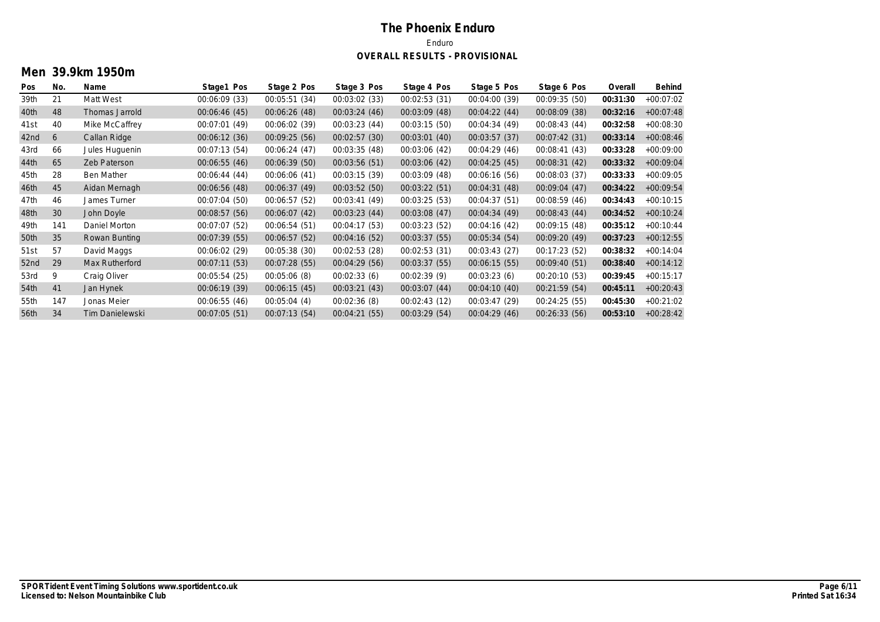## **Men 39.9km 1950m**

| Pos  | No. | Name              | Stage1 Pos    | Stage 2 Pos   | Stage 3 Pos   | Stage 4 Pos   | Stage 5 Pos   | Stage 6 Pos   | Overall  | Behind      |
|------|-----|-------------------|---------------|---------------|---------------|---------------|---------------|---------------|----------|-------------|
| 39th | 21  | Matt West         | 00:06:09 (33) | 00:05:51 (34) | 00:03:02 (33) | 00:02:53 (31) | 00:04:00 (39) | 00:09:35 (50) | 00:31:30 | $+00:07:02$ |
| 40th | 48  | Thomas Jarrold    | 00:06:46(45)  | 00:06:26 (48) | 00:03:24(46)  | 00:03:09 (48) | 00:04:22(44)  | 00:08:09 (38) | 00:32:16 | $+00:07:48$ |
| 41st | 40  | Mike McCaffrey    | 00:07:01 (49) | 00:06:02 (39) | 00:03:23(44)  | 00:03:15(50)  | 00:04:34 (49) | 00:08:43(44)  | 00:32:58 | $+00:08:30$ |
| 42nd | 6   | Callan Ridge      | 00:06:12 (36) | 00:09:25(56)  | 00:02:57(30)  | 00:03:01(40)  | 00:03:57(37)  | 00:07:42(31)  | 00:33:14 | $+00:08:46$ |
| 43rd | 66  | Jules Huguenin    | 00:07:13(54)  | 00:06:24(47)  | 00:03:35 (48) | 00:03:06 (42) | 00:04:29(46)  | 00:08:41(43)  | 00:33:28 | $+00:09:00$ |
| 44th | 65  | Zeb Paterson      | 00:06:55 (46) | 00:06:39 (50) | 00:03:56 (51) | 00:03:06 (42) | 00:04:25(45)  | 00:08:31(42)  | 00:33:32 | $+00:09:04$ |
| 45th | 28  | <b>Ben Mather</b> | 00:06:44 (44) | 00:06:06(41)  | 00:03:15 (39) | 00:03:09 (48) | 00:06:16 (56) | 00:08:03 (37) | 00:33:33 | $+00:09:05$ |
| 46th | 45  | Aidan Mernagh     | 00:06:56 (48) | 00:06:37(49)  | 00:03:52(50)  | 00:03:22 (51) | 00:04:31 (48) | 00:09:04(47)  | 00:34:22 | $+00:09:54$ |
| 47th | 46  | James Turner      | 00:07:04 (50) | 00:06:57 (52) | 00:03:41 (49) | 00:03:25(53)  | 00:04:37 (51) | 00:08:59 (46) | 00:34:43 | $+00:10:15$ |
| 48th | 30  | John Doyle        | 00:08:57(56)  | 00:06:07(42)  | 00:03:23(44)  | 00:03:08(47)  | 00:04:34 (49) | 00:08:43(44)  | 00:34:52 | $+00:10:24$ |
| 49th | 141 | Daniel Morton     | 00:07:07 (52) | 00:06:54 (51) | 00:04:17 (53) | 00:03:23(52)  | 00:04:16 (42) | 00:09:15 (48) | 00:35:12 | $+00:10:44$ |
| 50th | 35  | Rowan Bunting     | 00:07:39 (55) | 00:06:57 (52) | 00:04:16 (52) | 00:03:37(55)  | 00:05:34 (54) | 00:09:20 (49) | 00:37:23 | $+00:12:55$ |
| 51st | 57  | David Maggs       | 00:06:02 (29) | 00:05:38 (30) | 00:02:53 (28) | 00:02:53 (31) | 00:03:43 (27) | 00:17:23 (52) | 00:38:32 | $+00:14:04$ |
| 52nd | 29  | Max Rutherford    | 00:07:11 (53) | 00:07:28 (55) | 00:04:29 (56) | 00:03:37(55)  | 00:06:15(55)  | 00:09:40 (51) | 00:38:40 | $+00:14:12$ |
| 53rd | 9   | Craig Oliver      | 00:05:54 (25) | 00:05:06(8)   | 00:02:33(6)   | 00:02:39(9)   | 00:03:23(6)   | 00:20:10 (53) | 00:39:45 | $+00:15:17$ |
| 54th | 41  | Jan Hynek         | 00:06:19 (39) | 00:06:15(45)  | 00:03:21 (43) | 00:03:07(44)  | 00:04:10 (40) | 00:21:59(54)  | 00:45:11 | $+00:20:43$ |
| 55th | 147 | Jonas Meier       | 00:06:55(46)  | 00:05:04(4)   | 00:02:36(8)   | 00:02:43(12)  | 00:03:47 (29) | 00:24:25(55)  | 00:45:30 | $+00:21:02$ |
| 56th | 34  | Tim Danielewski   | 00:07:05(51)  | 00:07:13(54)  | 00:04:21 (55) | 00:03:29(54)  | 00:04:29(46)  | 00:26:33(56)  | 00:53:10 | $+00:28:42$ |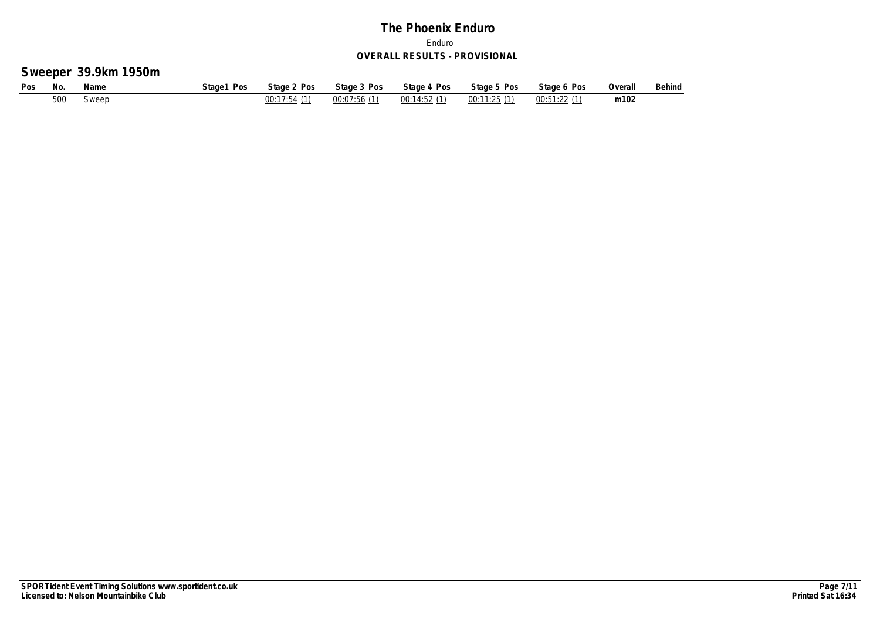# **Sweeper 39.9km 1950m**

| Pos | No. | Name  | Stage1 Pos | Stage 2 Pos | Stage 3 Pos | Stage 4 Pos | Stage 5 Pos | Stage 6 Pos | Overall | Behind |
|-----|-----|-------|------------|-------------|-------------|-------------|-------------|-------------|---------|--------|
|     | 500 | Sweep |            | 00:17:54(1) | 00:07:56(1) | 00:14:52(1) | 00:11:25(1) | 00:51:22(1) | m102    |        |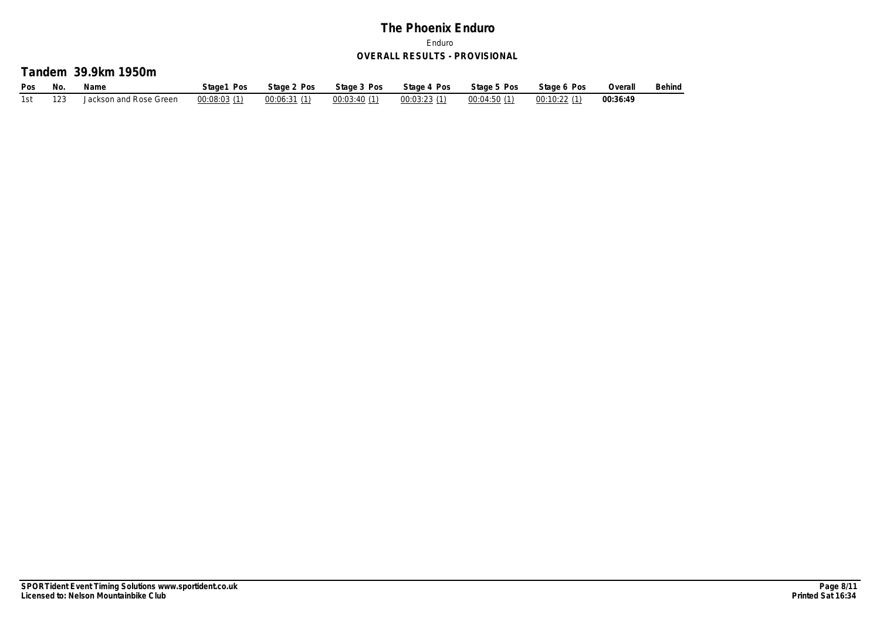#### **Tandem 39.9km 1950m**

| Pos | No. | Name                   | Stage1 Pos   | Stage 2 Pos | Stage 3 Pos | Stage 4 Pos | Stage 5 Pos | Stage 6 Pos | Overall  | Behind |
|-----|-----|------------------------|--------------|-------------|-------------|-------------|-------------|-------------|----------|--------|
|     |     | Jackson and Rose Green | 00:08:03 (1) | 00:06:31(1) | 00:03:40(1) | 00:03:23(1) | 00:04:50(1) | 00:10:22(1) | 00:36:49 |        |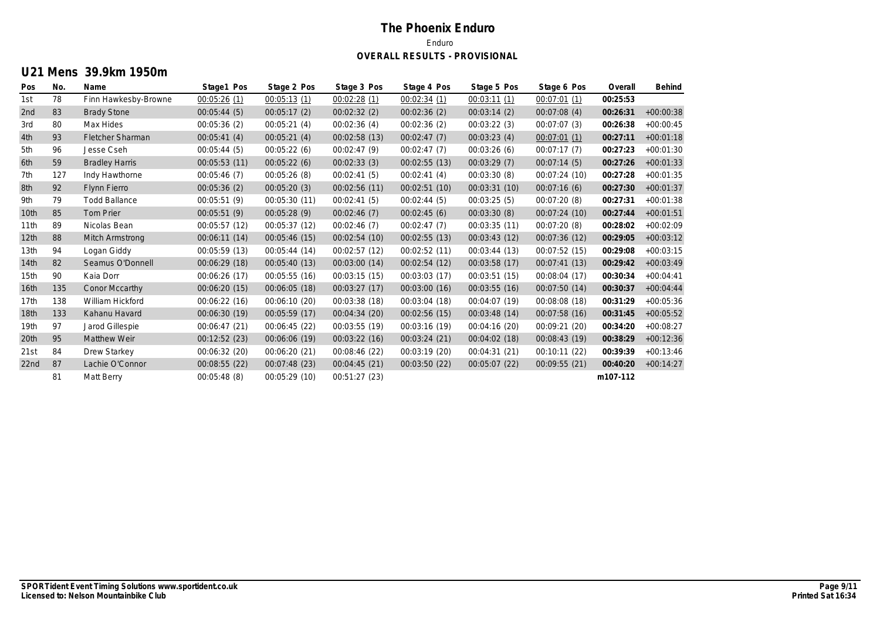# **U21 Mens 39.9km 1950m**

| Pos              | No. | Name                  | Stage1 Pos    | Stage 2 Pos   | Stage 3 Pos   | Stage 4 Pos   | Stage 5 Pos   | Stage 6 Pos   | Overall  | Behind      |
|------------------|-----|-----------------------|---------------|---------------|---------------|---------------|---------------|---------------|----------|-------------|
| 1st              | 78  | Finn Hawkesby-Browne  | 00:05:26(1)   | 00:05:13(1)   | 00:02:28(1)   | 00:02:34(1)   | 00:03:11(1)   | 00:07:01(1)   | 00:25:53 |             |
| 2nd              | 83  | <b>Brady Stone</b>    | 00:05:44(5)   | 00:05:17(2)   | 00:02:32(2)   | 00:02:36(2)   | 00:03:14(2)   | 00:07:08(4)   | 00:26:31 | $+00:00:38$ |
| 3rd              | 80  | Max Hides             | 00:05:36(2)   | 00:05:21(4)   | 00:02:36(4)   | 00:02:36(2)   | 00:03:22(3)   | 00:07:07(3)   | 00:26:38 | $+00:00:45$ |
| 4th              | 93  | Fletcher Sharman      | 00:05:41(4)   | 00:05:21(4)   | 00:02:58(13)  | 00:02:47(7)   | 00:03:23(4)   | 00:07:01(1)   | 00:27:11 | $+00:01:18$ |
| 5th              | 96  | Jesse Cseh            | 00:05:44(5)   | 00:05:22(6)   | 00:02:47(9)   | 00:02:47(7)   | 00:03:26(6)   | 00:07:17(7)   | 00:27:23 | $+00:01:30$ |
| 6th              | 59  | <b>Bradley Harris</b> | 00:05:53 (11) | 00:05:22(6)   | 00:02:33(3)   | 00:02:55(13)  | 00:03:29(7)   | 00:07:14(5)   | 00:27:26 | $+00:01:33$ |
| 7th              | 127 | Indy Hawthorne        | 00:05:46(7)   | 00:05:26(8)   | 00:02:41(5)   | 00:02:41(4)   | 00:03:30 (8)  | 00:07:24 (10) | 00:27:28 | $+00:01:35$ |
| 8th              | 92  | Flynn Fierro          | 00:05:36(2)   | 00:05:20(3)   | 00:02:56 (11) | 00:02:51(10)  | 00:03:31 (10) | 00:07:16(6)   | 00:27:30 | $+00:01:37$ |
| 9th              | 79  | <b>Todd Ballance</b>  | 00:05:51(9)   | 00:05:30 (11) | 00:02:41(5)   | 00:02:44(5)   | 00:03:25(5)   | 00:07:20(8)   | 00:27:31 | $+00:01:38$ |
| 10 <sub>th</sub> | 85  | <b>Tom Prier</b>      | 00:05:51(9)   | 00:05:28(9)   | 00:02:46(7)   | 00:02:45(6)   | 00:03:30(8)   | 00:07:24 (10) | 00:27:44 | $+00:01:51$ |
| 11th             | 89  | Nicolas Bean          | 00:05:57 (12) | 00:05:37 (12) | 00:02:46(7)   | 00:02:47(7)   | 00:03:35(11)  | 00:07:20(8)   | 00:28:02 | $+00:02:09$ |
| 12 <sub>th</sub> | 88  | Mitch Armstrong       | 00:06:11 (14) | 00:05:46 (15) | 00:02:54(10)  | 00:02:55(13)  | 00:03:43 (12) | 00:07:36(12)  | 00:29:05 | $+00:03:12$ |
| 13 <sub>th</sub> | 94  | Logan Giddy           | 00:05:59 (13) | 00:05:44 (14) | 00:02:57 (12) | 00:02:52 (11) | 00:03:44 (13) | 00:07:52 (15) | 00:29:08 | $+00:03:15$ |
| 14th             | 82  | Seamus O'Donnell      | 00:06:29 (18) | 00:05:40(13)  | 00:03:00 (14) | 00:02:54(12)  | 00:03:58 (17) | 00:07:41(13)  | 00:29:42 | $+00:03:49$ |
| 15 <sub>th</sub> | 90  | Kaia Dorr             | 00:06:26 (17) | 00:05:55 (16) | 00:03:15 (15) | 00:03:03 (17) | 00:03:51 (15) | 00:08:04 (17) | 00:30:34 | $+00:04:41$ |
| 16th             | 135 | Conor Mccarthy        | 00:06:20 (15) | 00:06:05 (18) | 00:03:27 (17) | 00:03:00 (16) | 00:03:55(16)  | 00:07:50(14)  | 00:30:37 | $+00:04:44$ |
| 17th             | 138 | William Hickford      | 00:06:22 (16) | 00:06:10 (20) | 00:03:38 (18) | 00:03:04 (18) | 00:04:07 (19) | 00:08:08 (18) | 00:31:29 | $+00:05:36$ |
| 18th             | 133 | Kahanu Havard         | 00:06:30 (19) | 00:05:59(17)  | 00:04:34 (20) | 00:02:56(15)  | 00:03:48 (14) | 00:07:58(16)  | 00:31:45 | $+00:05:52$ |
| 19th             | 97  | Jarod Gillespie       | 00:06:47(21)  | 00:06:45(22)  | 00:03:55 (19) | 00:03:16 (19) | 00:04:16 (20) | 00:09:21 (20) | 00:34:20 | $+00:08:27$ |
| 20th             | 95  | Matthew Weir          | 00:12:52 (23) | 00:06:06 (19) | 00:03:22 (16) | 00:03:24 (21) | 00:04:02 (18) | 00:08:43(19)  | 00:38:29 | $+00:12:36$ |
| 21st             | 84  | Drew Starkey          | 00:06:32 (20) | 00:06:20 (21) | 00:08:46 (22) | 00:03:19 (20) | 00:04:31 (21) | 00:10:11 (22) | 00:39:39 | $+00:13:46$ |
| 22nd             | 87  | Lachie O'Connor       | 00:08:55 (22) | 00:07:48 (23) | 00:04:45 (21) | 00:03:50(22)  | 00:05:07 (22) | 00:09:55 (21) | 00:40:20 | $+00:14:27$ |
|                  | 81  | Matt Berry            | 00:05:48(8)   | 00:05:29 (10) | 00:51:27(23)  |               |               |               | m107-112 |             |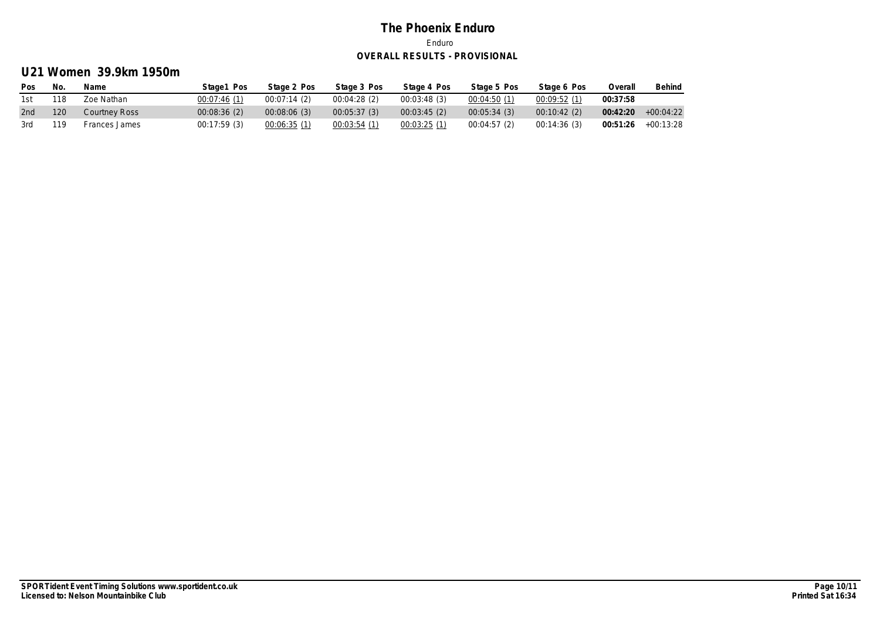# **U21 Women 39.9km 1950m**

| <b>Pos</b> | No  | Name          | Stage1 Pos  | Stage 2 Pos | Stage 3 Pos | Stage 4 Pos | Stage 5 Pos | Stage 6 Pos | Overall  | Behind      |
|------------|-----|---------------|-------------|-------------|-------------|-------------|-------------|-------------|----------|-------------|
| 1st        | 118 | Zoe Nathan    | 00:07:46(1) | 00:07:14(2) | 00:04:28(2) | 00:03:48(3) | 00:04:50(1) | 00:09:52(1) | 00:37:58 |             |
| 2nd        | 120 | Courtney Ross | 00:08:36(2) | 00:08:06(3) | 00:05:37(3) | 00:03:45(2) | 00:05:34(3) | 00:10:42(2) | 00:42:20 | $+00:04:22$ |
| 3rd        | 119 | Frances James | 00:17:59(3) | 00:06:35(1) | 00:03:54(1) | 00:03:25(1) | 00:04:57(2) | 00:14:36(3) | 00:51:26 | +00:13:28   |